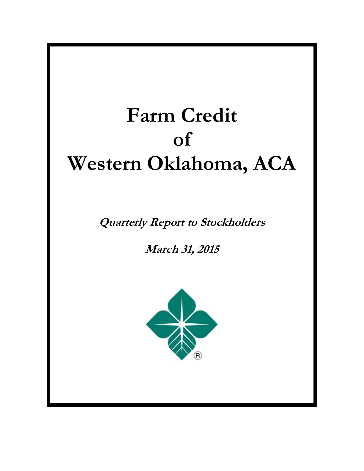# **Farm Credit of Western Oklahoma, ACA**

**Quarterly Report to Stockholders** 

**March 31, 2015**

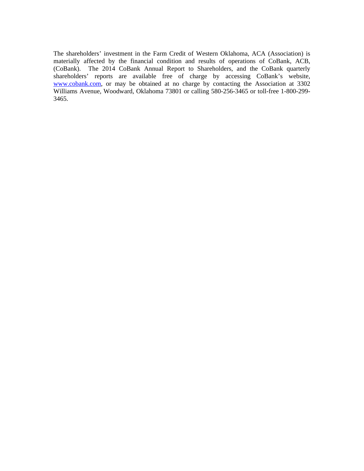The shareholders' investment in the Farm Credit of Western Oklahoma, ACA (Association) is materially affected by the financial condition and results of operations of CoBank, ACB, (CoBank). The 2014 CoBank Annual Report to Shareholders, and the CoBank quarterly shareholders' reports are available free of charge by accessing CoBank's website, www.cobank.com, or may be obtained at no charge by contacting the Association at 3302 Williams Avenue, Woodward, Oklahoma 73801 or calling 580-256-3465 or toll-free 1-800-299- 3465.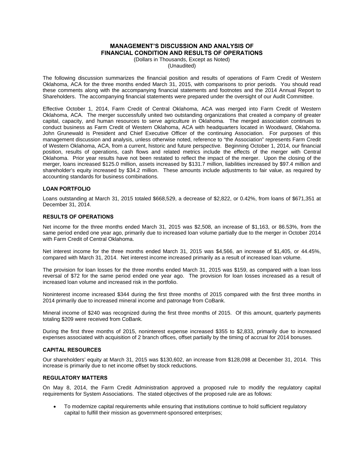# **MANAGEMENT'S DISCUSSION AND ANALYSIS OF FINANCIAL CONDITION AND RESULTS OF OPERATIONS**

(Dollars in Thousands, Except as Noted) (Unaudited)

The following discussion summarizes the financial position and results of operations of Farm Credit of Western Oklahoma, ACA for the three months ended March 31, 2015, with comparisons to prior periods. You should read these comments along with the accompanying financial statements and footnotes and the 2014 Annual Report to Shareholders. The accompanying financial statements were prepared under the oversight of our Audit Committee.

Effective October 1, 2014, Farm Credit of Central Oklahoma, ACA was merged into Farm Credit of Western Oklahoma, ACA. The merger successfully united two outstanding organizations that created a company of greater capital, capacity, and human resources to serve agriculture in Oklahoma. The merged association continues to conduct business as Farm Credit of Western Oklahoma, ACA with headquarters located in Woodward, Oklahoma. John Grunewald is President and Chief Executive Officer of the continuing Association. For purposes of this management discussion and analysis, unless otherwise noted, reference to "the Association" represents Farm Credit of Western Oklahoma, ACA, from a current, historic and future perspective. Beginning October 1, 2014, our financial position, results of operations, cash flows and related metrics include the effects of the merger with Central Oklahoma. Prior year results have not been restated to reflect the impact of the merger. Upon the closing of the merger, loans increased \$125.0 million, assets increased by \$131.7 million, liabilities increased by \$97.4 million and shareholder's equity increased by \$34.2 million. These amounts include adjustments to fair value, as required by accounting standards for business combinations.

### **LOAN PORTFOLIO**

Loans outstanding at March 31, 2015 totaled \$668,529, a decrease of \$2,822, or 0.42%, from loans of \$671,351 at December 31, 2014.

### **RESULTS OF OPERATIONS**

Net income for the three months ended March 31, 2015 was \$2,508, an increase of \$1,163, or 86.53%, from the same period ended one year ago, primarily due to increased loan volume partially due to the merger in October 2014 with Farm Credit of Central Oklahoma.

Net interest income for the three months ended March 31, 2015 was \$4,566, an increase of \$1,405, or 44.45%, compared with March 31, 2014. Net interest income increased primarily as a result of increased loan volume.

The provision for loan losses for the three months ended March 31, 2015 was \$159, as compared with a loan loss reversal of \$72 for the same period ended one year ago. The provision for loan losses increased as a result of increased loan volume and increased risk in the portfolio.

Noninterest income increased \$344 during the first three months of 2015 compared with the first three months in 2014 primarily due to increased mineral income and patronage from CoBank.

Mineral income of \$240 was recognized during the first three months of 2015. Of this amount, quarterly payments totaling \$209 were received from CoBank.

During the first three months of 2015, noninterest expense increased \$355 to \$2,833, primarily due to increased expenses associated with acquisition of 2 branch offices, offset partially by the timing of accrual for 2014 bonuses.

### **CAPITAL RESOURCES**

Our shareholders' equity at March 31, 2015 was \$130,602, an increase from \$128,098 at December 31, 2014. This increase is primarily due to net income offset by stock reductions.

### **REGULATORY MATTERS**

On May 8, 2014, the Farm Credit Administration approved a proposed rule to modify the regulatory capital requirements for System Associations. The stated objectives of the proposed rule are as follows:

 To modernize capital requirements while ensuring that institutions continue to hold sufficient regulatory capital to fulfill their mission as government-sponsored enterprises;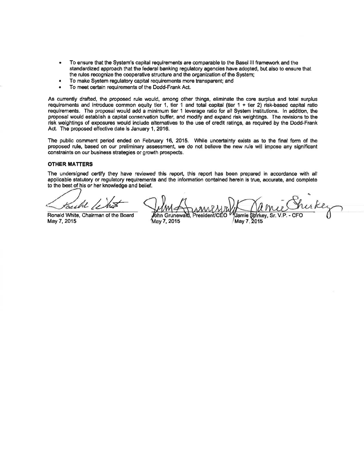- To ensure that the System's capital requirements are comparable to the Basel ill framework and the standardized approach that the federal banking regulatory agencies have adopted, but also to ensure that the rules recognize the cooperative structure and the organization of the System;
- To make System regulatory capital requirements more transparent; and
- To meet certain requirements of the Dodd-Frank Act.

As currently drafted, the proposed rule would, among other things, eliminate the core surplus and total surplus requirements and introduce common equity tier 1, tier 1 and total capital (tier 1 + tier 2) risk-based capital ratio requirements. The proposal would add a minimum tier 1 leverage ratio for all System institutions. In addition, the proposal would establish a capital conservation buffer, and modify and expand risk weightings. The revisions to the risk weightings of exposures would include alternatives to the use of credit ratings, as required by the Dodd-Frank Act. The proposed effective date is January 1, 2016.

The public comment period ended on February 16, 2015. While uncertainty exists as to the final form of the proposed rule, based on our preliminary assessment, we do not believe the new rule will impose any significant constraints on our business strategies or growth prospects.

### **OTHER MATTERS**

The undersigned certify they have reviewed this report, this report has been prepared in accordance with all applicable statutory or regulatory requirements and the information contained herein is true, accurate, and complete to the best of his or her knowledge and belief.

Ronald White, Chairman of the Board May 7, 2015

ohn Grunewald, President Jamie Strirkey, Sr. May 7, 2015 May 7, 2015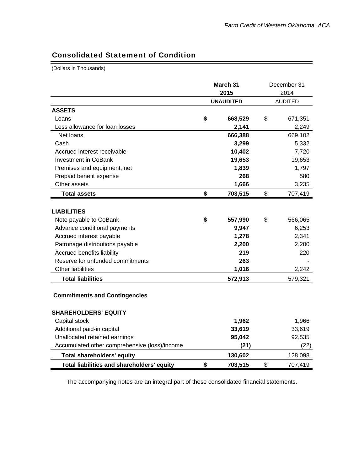# Consolidated Statement of Condition

(Dollars in Thousands)

|                                               | March 31         | December 31    |
|-----------------------------------------------|------------------|----------------|
|                                               | 2015             | 2014           |
|                                               | <b>UNAUDITED</b> | <b>AUDITED</b> |
| <b>ASSETS</b>                                 |                  |                |
| Loans                                         | \$<br>668,529    | \$<br>671,351  |
| Less allowance for loan losses                | 2,141            | 2,249          |
| Net loans                                     | 666,388          | 669,102        |
| Cash                                          | 3,299            | 5,332          |
| Accrued interest receivable                   | 10,402           | 7,720          |
| <b>Investment in CoBank</b>                   | 19,653           | 19,653         |
| Premises and equipment, net                   | 1,839            | 1,797          |
| Prepaid benefit expense                       | 268              | 580            |
| Other assets                                  | 1,666            | 3,235          |
| <b>Total assets</b>                           | \$<br>703,515    | \$<br>707,419  |
|                                               |                  |                |
| <b>LIABILITIES</b>                            |                  |                |
| Note payable to CoBank                        | \$<br>557,990    | \$<br>566,065  |
| Advance conditional payments                  | 9,947            | 6,253          |
| Accrued interest payable                      | 1,278            | 2,341          |
| Patronage distributions payable               | 2,200            | 2,200          |
| Accrued benefits liability                    | 219              | 220            |
| Reserve for unfunded commitments              | 263              |                |
| Other liabilities                             | 1,016            | 2,242          |
| <b>Total liabilities</b>                      | 572,913          | 579,321        |
| <b>Commitments and Contingencies</b>          |                  |                |
| <b>SHAREHOLDERS' EQUITY</b>                   |                  |                |
| Capital stock                                 | 1,962            | 1,966          |
| Additional paid-in capital                    | 33,619           | 33,619         |
| Unallocated retained earnings                 | 95,042           | 92,535         |
| Accumulated other comprehensive (loss)/income | (21)             | (22)           |
| <b>Total shareholders' equity</b>             | 130,602          | 128,098        |
| Total liabilities and shareholders' equity    | \$<br>703,515    | \$<br>707,419  |

The accompanying notes are an integral part of these consolidated financial statements.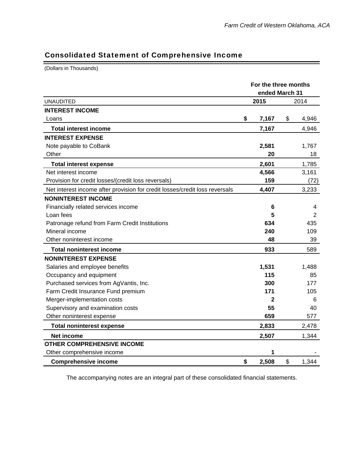# Consolidated Statement of Comprehensive Income

(Dollars in Thousands)

|                                                                             | For the three months<br>ended March 31 |             |
|-----------------------------------------------------------------------------|----------------------------------------|-------------|
| <b>UNAUDITED</b>                                                            | 2015                                   | 2014        |
| <b>INTEREST INCOME</b>                                                      |                                        |             |
| Loans                                                                       | \$<br>7,167                            | \$<br>4,946 |
| <b>Total interest income</b>                                                | 7,167                                  | 4,946       |
| <b>INTEREST EXPENSE</b>                                                     |                                        |             |
| Note payable to CoBank                                                      | 2,581                                  | 1,767       |
| Other                                                                       | 20                                     | 18          |
| <b>Total interest expense</b>                                               | 2,601                                  | 1,785       |
| Net interest income                                                         | 4,566                                  | 3,161       |
| Provision for credit losses/(credit loss reversals)                         | 159                                    | (72)        |
| Net interest income after provision for credit losses/credit loss reversals | 4,407                                  | 3,233       |
| <b>NONINTEREST INCOME</b>                                                   |                                        |             |
| Financially related services income                                         | 6                                      | 4           |
| Loan fees                                                                   | 5                                      | 2           |
| Patronage refund from Farm Credit Institutions                              | 634                                    | 435         |
| Mineral income                                                              | 240                                    | 109         |
| Other noninterest income                                                    | 48                                     | 39          |
| <b>Total noninterest income</b>                                             | 933                                    | 589         |
| <b>NONINTEREST EXPENSE</b>                                                  |                                        |             |
| Salaries and employee benefits                                              | 1,531                                  | 1,488       |
| Occupancy and equipment                                                     | 115                                    | 85          |
| Purchased services from AgVantis, Inc.                                      | 300                                    | 177         |
| Farm Credit Insurance Fund premium                                          | 171                                    | 105         |
| Merger-implementation costs                                                 | 2                                      | 6           |
| Supervisory and examination costs                                           | 55                                     | 40          |
| Other noninterest expense                                                   | 659                                    | 577         |
| <b>Total noninterest expense</b>                                            | 2,833                                  | 2,478       |
| Net income                                                                  | 2,507                                  | 1,344       |
| <b>OTHER COMPREHENSIVE INCOME</b>                                           |                                        |             |
| Other comprehensive income                                                  |                                        |             |
| <b>Comprehensive income</b>                                                 | \$<br>2,508                            | \$<br>1,344 |

The accompanying notes are an integral part of these consolidated financial statements.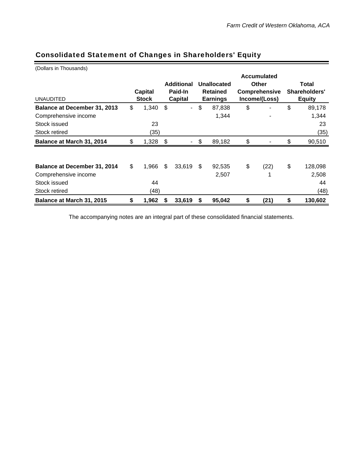| (Dollars in Thousands)              |              |    |                   |    |                 |                      |               |  |  |
|-------------------------------------|--------------|----|-------------------|----|-----------------|----------------------|---------------|--|--|
|                                     |              |    |                   |    |                 | <b>Accumulated</b>   |               |  |  |
|                                     |              |    | <b>Additional</b> |    | Unallocated     | Other                | Total         |  |  |
|                                     | Capital      |    | Paid-In           |    | <b>Retained</b> | <b>Comprehensive</b> | Shareholders' |  |  |
| <b>UNAUDITED</b>                    | <b>Stock</b> |    | Capital           |    | <b>Earnings</b> | Income/(Loss)        | <b>Equity</b> |  |  |
| Balance at December 31, 2013        | \$<br>1,340  | \$ | $\blacksquare$    | \$ | 87,838          | \$                   | \$<br>89,178  |  |  |
| Comprehensive income                |              |    |                   |    | 1,344           |                      | 1,344         |  |  |
| Stock issued                        | 23           |    |                   |    |                 |                      | 23            |  |  |
| Stock retired                       | (35)         |    |                   |    |                 |                      | (35)          |  |  |
| Balance at March 31, 2014           | \$<br>1,328  | \$ |                   | \$ | 89,182          | \$                   | \$<br>90,510  |  |  |
|                                     |              |    |                   |    |                 |                      |               |  |  |
| <b>Balance at December 31, 2014</b> | \$<br>1,966  | \$ | 33,619            | \$ | 92,535          | \$<br>(22)           | \$<br>128,098 |  |  |
| Comprehensive income                |              |    |                   |    | 2,507           |                      | 2,508         |  |  |
| Stock issued                        | 44           |    |                   |    |                 |                      | 44            |  |  |
| Stock retired                       | (48)         |    |                   |    |                 |                      | (48)          |  |  |
| Balance at March 31, 2015           | \$<br>1,962  | S  | 33,619            | S  | 95,042          | \$<br>(21)           | \$<br>130,602 |  |  |

# Consolidated Statement of Changes in Shareholders' Equity

The accompanying notes are an integral part of these consolidated financial statements.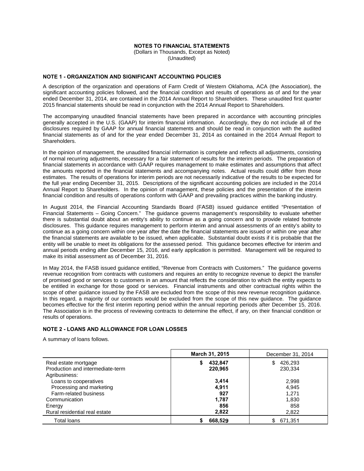### **NOTES TO FINANCIAL STATEMENTS**

(Dollars in Thousands, Except as Noted) (Unaudited)

### **NOTE 1 - ORGANIZATION AND SIGNIFICANT ACCOUNTING POLICIES**

A description of the organization and operations of Farm Credit of Western Oklahoma, ACA (the Association), the significant accounting policies followed, and the financial condition and results of operations as of and for the year ended December 31, 2014, are contained in the 2014 Annual Report to Shareholders. These unaudited first quarter 2015 financial statements should be read in conjunction with the 2014 Annual Report to Shareholders.

The accompanying unaudited financial statements have been prepared in accordance with accounting principles generally accepted in the U.S. (GAAP) for interim financial information. Accordingly, they do not include all of the disclosures required by GAAP for annual financial statements and should be read in conjunction with the audited financial statements as of and for the year ended December 31, 2014 as contained in the 2014 Annual Report to Shareholders.

In the opinion of management, the unaudited financial information is complete and reflects all adjustments, consisting of normal recurring adjustments, necessary for a fair statement of results for the interim periods. The preparation of financial statements in accordance with GAAP requires management to make estimates and assumptions that affect the amounts reported in the financial statements and accompanying notes. Actual results could differ from those estimates. The results of operations for interim periods are not necessarily indicative of the results to be expected for the full year ending December 31, 2015. Descriptions of the significant accounting policies are included in the 2014 Annual Report to Shareholders. In the opinion of management, these policies and the presentation of the interim financial condition and results of operations conform with GAAP and prevailing practices within the banking industry.

In August 2014, the Financial Accounting Standards Board (FASB) issued guidance entitled "Presentation of Financial Statements – Going Concern." The guidance governs management's responsibility to evaluate whether<br>there is substantial doubt about an entity's ability to continue as a going concern and to provide related footnot disclosures. This guidance requires management to perform interim and annual assessments of an entity's ability to continue as a going concern within one year after the date the financial statements are issued or within one year after the financial statements are available to be issued, when applicable. Substantial doubt exists if it is probable that the entity will be unable to meet its obligations for the assessed period. This quidance becomes effective for interim and annual periods ending after December 15, 2016, and early application is permitted. Management will be required to make its initial assessment as of December 31, 2016.

In May 2014, the FASB issued guidance entitled, "Revenue from Contracts with Customers." The guidance governs revenue recognition from contracts with customers and requires an entity to recognize revenue to depict the transfer of promised good or services to customers in an amount that reflects the consideration to which the entity expects to be entitled in exchange for those good or services. Financial instruments and other contractual rights within the scope of other guidance issued by the FASB are excluded from the scope of this new revenue recognition guidance. In this regard, a majority of our contracts would be excluded from the scope of this new quidance. The quidance becomes effective for the first interim reporting period within the annual reporting periods after December 15, 2016. The Association is in the process of reviewing contracts to determine the effect, if any, on their financial condition or results of operations.

#### **NOTE 2 - LOANS AND ALLOWANCE FOR LOAN LOSSES**

A summary of loans follows.

|                                  | <b>March 31, 2015</b><br>December 31, 2014 |                |  |  |  |  |  |
|----------------------------------|--------------------------------------------|----------------|--|--|--|--|--|
| Real estate mortgage             | 432,847                                    | 426,293<br>S   |  |  |  |  |  |
| Production and intermediate-term | 220,965                                    | 230,334        |  |  |  |  |  |
| Agribusiness:                    |                                            |                |  |  |  |  |  |
| Loans to cooperatives            | 3.414                                      | 2,998          |  |  |  |  |  |
| Processing and marketing         | 4,911                                      | 4,945          |  |  |  |  |  |
| Farm-related business            | 927                                        | 1.271          |  |  |  |  |  |
| Communication                    | 1,787                                      | 1,830          |  |  |  |  |  |
| Energy                           | 856                                        | 858            |  |  |  |  |  |
| Rural residential real estate    | 2,822                                      | 2,822          |  |  |  |  |  |
| Total loans                      | 668,529                                    | 671,351<br>\$. |  |  |  |  |  |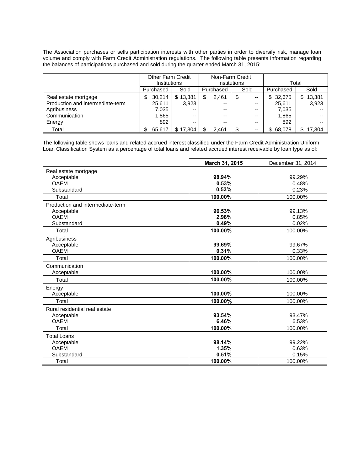The Association purchases or sells participation interests with other parties in order to diversify risk, manage loan volume and comply with Farm Credit Administration regulations. The following table presents information regarding the balances of participations purchased and sold during the quarter ended March 31, 2015:

|                                  | <b>Other Farm Credit</b> |          |            | Non-Farm Credit |               |               |  |
|----------------------------------|--------------------------|----------|------------|-----------------|---------------|---------------|--|
|                                  | <b>Institutions</b>      |          |            | Institutions    | Total         |               |  |
|                                  | Purchased                | Sold     | Purchased  | Sold            | Purchased     | Sold          |  |
| Real estate mortgage             | 30.214<br>\$             | \$13,381 | S<br>2.461 | --              | 32,675<br>\$. | 13,381<br>\$. |  |
| Production and intermediate-term | 25.611                   | 3.923    | $- -$      | --              | 25.611        | 3,923         |  |
| Agribusiness                     | 7,035                    | $- -$    | $- -$      | --              | 7.035         |               |  |
| Communication                    | 1,865                    | $- -$    | $- -$      | --              | 1,865         |               |  |
| Energy                           | 892                      | $- -$    | $- -$      | $- -$           | 892           |               |  |
| Total                            | 65.617                   | \$17.304 | 2.461      | $- -$           | 68,078        | 17.304        |  |

The following table shows loans and related accrued interest classified under the Farm Credit Administration Uniform Loan Classification System as a percentage of total loans and related accrued interest receivable by loan type as of:

|                                  | March 31, 2015 | December 31, 2014 |
|----------------------------------|----------------|-------------------|
| Real estate mortgage             |                |                   |
| Acceptable                       | 98.94%         | 99.29%            |
| <b>OAEM</b>                      | 0.53%          | 0.48%             |
| Substandard                      | 0.53%          | 0.23%             |
| Total                            | 100.00%        | 100.00%           |
| Production and intermediate-term |                |                   |
| Acceptable                       | 96.53%         | 99.13%            |
| <b>OAEM</b>                      | 2.98%          | 0.85%             |
| Substandard                      | 0.49%          | 0.02%             |
| Total                            | 100.00%        | 100.00%           |
| Agribusiness                     |                |                   |
| Acceptable                       | 99.69%         | 99.67%            |
| <b>OAEM</b>                      | 0.31%          | 0.33%             |
| Total                            | 100.00%        | 100.00%           |
| Communication                    |                |                   |
| Acceptable                       | 100.00%        | 100.00%           |
| Total                            | 100.00%        | 100.00%           |
| Energy                           |                |                   |
| Acceptable                       | 100.00%        | 100.00%           |
| Total                            | 100.00%        | 100.00%           |
| Rural residential real estate    |                |                   |
| Acceptable                       | 93.54%         | 93.47%            |
| <b>OAEM</b>                      | 6.46%          | 6.53%             |
| Total                            | 100.00%        | 100.00%           |
| <b>Total Loans</b>               |                |                   |
| Acceptable                       | 98.14%         | 99.22%            |
| <b>OAEM</b>                      | 1.35%          | 0.63%             |
| Substandard                      | 0.51%          | 0.15%             |
| Total                            | 100.00%        | 100.00%           |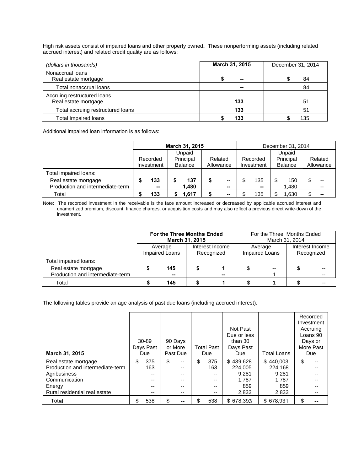High risk assets consist of impaired loans and other property owned. These nonperforming assets (including related accrued interest) and related credit quality are as follows:

| (dollars in thousands)                              | March 31, 2015 | December 31, 2014 |
|-----------------------------------------------------|----------------|-------------------|
| Nonaccrual loans<br>Real estate mortgage            | --             | 84                |
| Total nonaccrual loans                              | --             | 84                |
| Accruing restructured loans<br>Real estate mortgage | 133            | 51                |
| Total accruing restructured loans                   | 133            | 51                |
| <b>Total Impaired loans</b>                         | 133            | 135               |

Additional impaired loan information is as follows:

|                                  | March 31, 2015 |                                                                 |  |                      |  |                          | December 31, 2014 |                                       |  |                      |  |    |
|----------------------------------|----------------|-----------------------------------------------------------------|--|----------------------|--|--------------------------|-------------------|---------------------------------------|--|----------------------|--|----|
|                                  |                | Unpaid<br>Principal<br>Recorded<br><b>Balance</b><br>Investment |  | Related<br>Allowance |  | Recorded<br>Investment   |                   | Unpaid<br>Principal<br><b>Balance</b> |  | Related<br>Allowance |  |    |
|                                  |                |                                                                 |  |                      |  |                          |                   |                                       |  |                      |  |    |
| Total impaired loans:            |                |                                                                 |  |                      |  |                          |                   |                                       |  |                      |  |    |
| Real estate mortgage             |                | 133                                                             |  | 137                  |  | $\overline{\phantom{a}}$ |                   | 135                                   |  | 150                  |  | -- |
| Production and intermediate-term |                | $\sim$                                                          |  | 1.480                |  | $\sim$                   |                   | $\sim$                                |  | 480. ا               |  | -- |
| Total                            |                | 133                                                             |  | 1.617                |  | $\sim$                   |                   | 135                                   |  | .630                 |  |    |

Note: The recorded investment in the receivable is the face amount increased or decreased by applicable accrued interest and unamortized premium, discount, finance charges, or acquisition costs and may also reflect a previous direct write-down of the investment.

|                                                          |                                                            | For the Three Months Ended | March 31, 2015 |    | For the Three Months Ended<br>March 31, 2014 |                |                               |  |  |
|----------------------------------------------------------|------------------------------------------------------------|----------------------------|----------------|----|----------------------------------------------|----------------|-------------------------------|--|--|
|                                                          | Interest Income<br>Average<br>Impaired Loans<br>Recognized |                            |                |    | Average                                      | Impaired Loans | Interest Income<br>Recognized |  |  |
| Total impaired loans:                                    |                                                            |                            |                |    |                                              |                |                               |  |  |
| Real estate mortgage<br>Production and intermediate-term |                                                            | 145<br>--                  |                | -- |                                              | --             |                               |  |  |
| Total                                                    |                                                            | 145                        |                |    |                                              |                |                               |  |  |

The following tables provide an age analysis of past due loans (including accrued interest).

| March 31, 2015                                                                                                                       | 30-89<br>Days Past<br>Due                            | 90 Days<br>or More<br>Past Due                                | <b>Total Past</b><br>Due                 | Not Past<br>Due or less<br>than 30<br>Days Past<br>Due | <b>Total Loans</b>                                     | Recorded<br>Investment<br>Accruing<br>Loans 90<br>Days or<br>More Past<br>Due |
|--------------------------------------------------------------------------------------------------------------------------------------|------------------------------------------------------|---------------------------------------------------------------|------------------------------------------|--------------------------------------------------------|--------------------------------------------------------|-------------------------------------------------------------------------------|
| Real estate mortgage<br>Production and intermediate-term<br>Agribusiness<br>Communication<br>Energy<br>Rural residential real estate | \$<br>375<br>163<br>$- -$<br>$- -$<br>$- -$<br>$- -$ | \$<br>--<br>--<br>--<br>$-$<br>--<br>$\overline{\phantom{m}}$ | \$<br>375<br>163<br>--<br>--<br>--<br>-- | \$439,628<br>224.005<br>9.281<br>1,787<br>859<br>2,833 | \$440.003<br>224.168<br>9.281<br>1,787<br>859<br>2,833 | \$<br>--                                                                      |
| Total                                                                                                                                | \$<br>538                                            | \$<br>--                                                      | \$<br>538                                | \$678.393                                              | \$678.931                                              | \$                                                                            |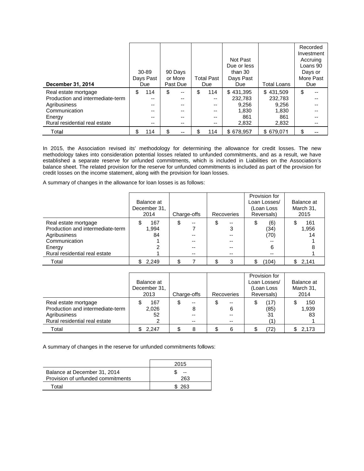| <b>December 31, 2014</b>                                                                                                             | 30-89<br>Days Past<br>Due                     | 90 Days<br>or More<br>Past Due                                                                 | <b>Total Past</b><br>Due                | Not Past<br>Due or less<br>than $30$<br>Days Past<br><b>Due</b> | <b>Total Loans</b>                                     | Recorded<br>Investment<br>Accruing<br>Loans 90<br>Days or<br>More Past<br>Due |
|--------------------------------------------------------------------------------------------------------------------------------------|-----------------------------------------------|------------------------------------------------------------------------------------------------|-----------------------------------------|-----------------------------------------------------------------|--------------------------------------------------------|-------------------------------------------------------------------------------|
| Real estate mortgage<br>Production and intermediate-term<br>Agribusiness<br>Communication<br>Energy<br>Rural residential real estate | \$<br>114<br>$- -$<br>--<br>$- -$<br>--<br>-- | \$<br>$\overline{\phantom{a}}$<br>$\overline{\phantom{m}}$<br>$- -$<br>$- -$<br>$- -$<br>$- -$ | \$<br>114<br>--<br>--<br>--<br>--<br>-- | \$431.395<br>232.783<br>9.256<br>1,830<br>861<br>2,832          | \$431.509<br>232,783<br>9.256<br>1,830<br>861<br>2,832 | \$<br>$-$<br>$-$<br>--<br>--<br>--                                            |
| Total                                                                                                                                | \$<br>114                                     | $\overline{\phantom{a}}$                                                                       | \$<br>114                               | \$678.957                                                       | \$679.071                                              | \$<br>--                                                                      |

In 2015, the Association revised its' methodology for determining the allowance for credit losses. The new methodology takes into consideration potential losses related to unfunded commitments, and as a result, we have established a separate reserve for unfunded commitments, which is included in Liabilities on the Association's balance sheet. The related provision for the reserve for unfunded commitments is included as part of the provision for credit losses on the income statement, along with the provision for loan losses.

A summary of changes in the allowance for loan losses is as follows:

|                                                                                                                                      | Balance at<br>December 31.<br>2014 | Charge-offs    | Recoveries             | Provision for<br>Loan Losses/<br>(Loan Loss<br>Reversals) | Balance at<br>March 31,<br>2015 |
|--------------------------------------------------------------------------------------------------------------------------------------|------------------------------------|----------------|------------------------|-----------------------------------------------------------|---------------------------------|
| Real estate mortgage<br>Production and intermediate-term<br>Agribusiness<br>Communication<br>Energy<br>Rural residential real estate | 167<br>S<br>1,994<br>84            | \$<br>--<br>-- | \$<br>$- -$<br>3<br>-- | (6)<br>\$<br>(34)<br>(70)<br>6<br>$- -$                   | 161<br>1,956<br>14              |
| Total                                                                                                                                | 2,249                              |                | 3                      | (104)                                                     | 2,141                           |

|                                                                                                           | Balance at<br>December 31,<br>2013 | Charge-offs   | Recoveries   | Provision for<br>Loan Losses/<br>(Loan Loss<br>Reversals) | Balance at<br>March 31,<br>2014 |  |
|-----------------------------------------------------------------------------------------------------------|------------------------------------|---------------|--------------|-----------------------------------------------------------|---------------------------------|--|
| Real estate mortgage<br>Production and intermediate-term<br>Agribusiness<br>Rural residential real estate | 167<br>2,026<br>52                 | --<br>8<br>-- | --<br>J<br>6 | (17)<br>(85)<br>31                                        | 150<br>1,939<br>83              |  |
| Total                                                                                                     | 2.247                              | 8             | 6            | 72)                                                       | 2,173                           |  |

A summary of changes in the reserve for unfunded commitments follows:

|                                   | 2015 |
|-----------------------------------|------|
| Balance at December 31, 2014      | --   |
| Provision of unfunded commitments | 263. |
| Total                             | 263  |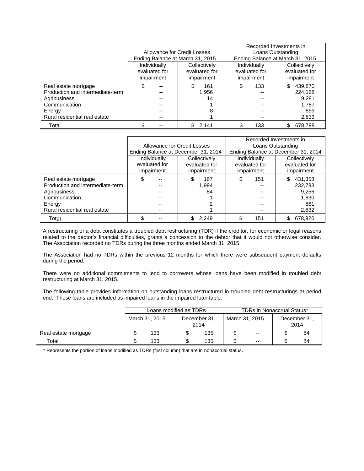|                                  |                                  |              |                                  | Recorded Investments in |  |  |  |
|----------------------------------|----------------------------------|--------------|----------------------------------|-------------------------|--|--|--|
|                                  | Allowance for Credit Losses      |              |                                  | Loans Outstanding       |  |  |  |
|                                  | Ending Balance at March 31, 2015 |              | Ending Balance at March 31, 2015 |                         |  |  |  |
|                                  | Individually                     | Collectively | Individually                     | Collectively            |  |  |  |
|                                  | evaluated for<br>evaluated for   |              | evaluated for                    | evaluated for           |  |  |  |
|                                  | impairment                       | impairment   | impairment                       | impairment              |  |  |  |
| Real estate mortgage             | \$<br>--                         | 161          | 133<br>\$                        | \$<br>439.870           |  |  |  |
| Production and intermediate-term |                                  | 1,956        | --                               | 224.168                 |  |  |  |
| Agribusiness                     |                                  | 14           | --                               | 9,281                   |  |  |  |
| Communication                    |                                  |              |                                  | 1.787                   |  |  |  |
| Energy                           |                                  |              | --                               | 859                     |  |  |  |
| Rural residential real estate    |                                  |              | --                               | 2,833                   |  |  |  |
| Total                            |                                  | 2.141        | 133                              | 678.798<br>S            |  |  |  |

|                                  |                                |                                     |  | Recorded Investments in |                                     |              |  |              |  |  |  |
|----------------------------------|--------------------------------|-------------------------------------|--|-------------------------|-------------------------------------|--------------|--|--------------|--|--|--|
|                                  | Allowance for Credit Losses    |                                     |  |                         | Loans Outstanding                   |              |  |              |  |  |  |
|                                  |                                | Ending Balance at December 31, 2014 |  |                         | Ending Balance at December 31, 2014 |              |  |              |  |  |  |
|                                  | Individually                   |                                     |  | Collectively            |                                     | Individually |  | Collectively |  |  |  |
|                                  | evaluated for<br>evaluated for |                                     |  | evaluated for           | evaluated for                       |              |  |              |  |  |  |
|                                  | impairment<br>impairment       |                                     |  | impairment              | impairment                          |              |  |              |  |  |  |
| Real estate mortgage             | \$                             | --                                  |  | 167                     | \$                                  | 151          |  | 431,358      |  |  |  |
| Production and intermediate-term |                                |                                     |  | 1.994                   |                                     |              |  | 232,783      |  |  |  |
| Agribusiness                     |                                |                                     |  | 84                      |                                     |              |  | 9,256        |  |  |  |
| Communication                    |                                |                                     |  |                         |                                     |              |  | 1,830        |  |  |  |
| Energy                           |                                |                                     |  |                         |                                     |              |  | 861          |  |  |  |
| Rural residential real estate    |                                |                                     |  |                         |                                     |              |  | 2,832        |  |  |  |
| Total                            |                                |                                     |  | 2.249                   |                                     | 151          |  | 678,920      |  |  |  |

A restructuring of a debt constitutes a troubled debt restructuring (TDR) if the creditor, for economic or legal reasons related to the debtor's financial difficulties, grants a concession to the debtor that it would not otherwise consider. The Association recorded no TDRs during the three months ended March 31, 2015.

The Association had no TDRs within the previous 12 months for which there were subsequent payment defaults during the period.

There were no additional commitments to lend to borrowers whose loans have been modified in troubled debt restructuring at March 31, 2015.

The following table provides information on outstanding loans restructured in troubled debt restructurings at period end. These loans are included as impaired loans in the impaired loan table.

|                      |                | Loans modified as TDRs |                      |     | <b>TDRs in Nonaccrual Status*</b> |     |                      |    |  |
|----------------------|----------------|------------------------|----------------------|-----|-----------------------------------|-----|----------------------|----|--|
|                      | March 31, 2015 |                        | December 31,<br>2014 |     | March 31, 2015                    |     | December 31,<br>2014 |    |  |
| Real estate mortgage |                | 133                    |                      | 135 |                                   | $-$ |                      | 84 |  |
| $\tau$ otal          |                | 133                    |                      | 135 |                                   | $-$ |                      | 84 |  |

\* Represents the portion of loans modified as TDRs (first column) that are in nonaccrual status.